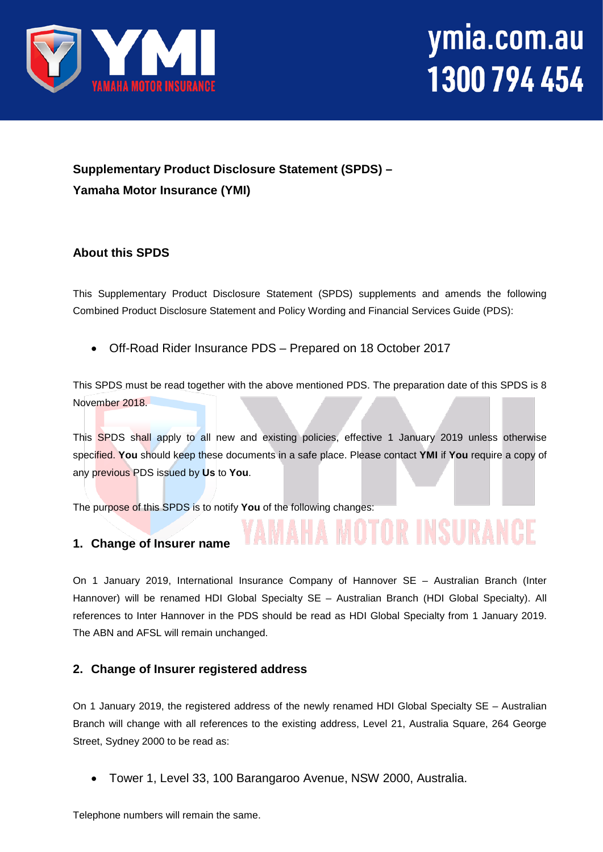

# ymia.com.au 1300 794 454

### **Supplementary Product Disclosure Statement (SPDS) – Yamaha Motor Insurance (YMI)**

#### **About this SPDS**

This Supplementary Product Disclosure Statement (SPDS) supplements and amends the following Combined Product Disclosure Statement and Policy Wording and Financial Services Guide (PDS):

• Off-Road Rider Insurance PDS – Prepared on 18 October 2017

This SPDS must be read together with the above mentioned PDS. The preparation date of this SPDS is 8 November 2018.

This SPDS shall apply to all new and existing policies, effective 1 January 2019 unless otherwise specified. **You** should keep these documents in a safe place. Please contact **YMI** if **You** require a copy of any previous PDS issued by **Us** to **You**.

**A MOTOR INSURANCE** 

The purpose of this SPDS is to notify **You** of the following changes:

#### **1. Change of Insurer name**

On 1 January 2019, International Insurance Company of Hannover SE – Australian Branch (Inter Hannover) will be renamed HDI Global Specialty SE – Australian Branch (HDI Global Specialty). All references to Inter Hannover in the PDS should be read as HDI Global Specialty from 1 January 2019. The ABN and AFSL will remain unchanged.

 $\lfloor N_{\ell}/N_{\ell} \rfloor$  .

#### **2. Change of Insurer registered address**

On 1 January 2019, the registered address of the newly renamed HDI Global Specialty SE – Australian Branch will change with all references to the existing address, Level 21, Australia Square, 264 George Street, Sydney 2000 to be read as:

• Tower 1, Level 33, 100 Barangaroo Avenue, NSW 2000, Australia.

Telephone numbers will remain the same.